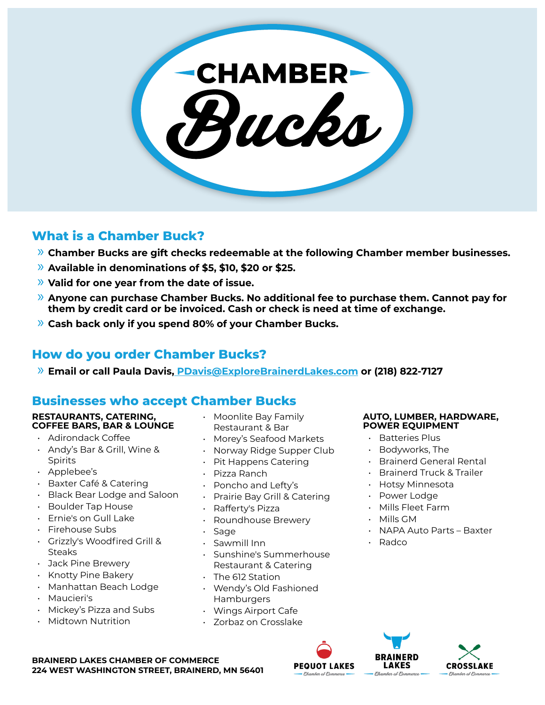

# **What is a Chamber Buck?**

- » **Chamber Bucks are gift checks redeemable at the following Chamber member businesses.**
- » **Available in denominations of \$5, \$10, \$20 or \$25.**
- » **Valid for one year from the date of issue.**
- » **Anyone can purchase Chamber Bucks. No additional fee to purchase them. Cannot pay for them by credit card or be invoiced. Cash or check is need at time of exchange.**
- » **Cash back only if you spend 80% of your Chamber Bucks.**

# **How do you order Chamber Bucks?**

» **Email or call Paula Davis, PDavis@ExploreBrainerdLakes.com or (218) 822-7127** 

# **Businesses who accept Chamber Bucks**

#### **RESTAURANTS, CATERING, COFFEE BARS, BAR & LOUNGE**

- Adirondack Coffee
- Andy's Bar & Grill, Wine & Spirits
- Applebee's
- Baxter Café & Catering
- Black Bear Lodge and Saloon
- Boulder Tap House
- Ernie's on Gull Lake
- Firehouse Subs
- Grizzly's Woodfired Grill & Steaks
- Jack Pine Brewery
- Knotty Pine Bakery
- Manhattan Beach Lodge
- Maucieri's
- Mickey's Pizza and Subs
- Midtown Nutrition
- Moonlite Bay Family Restaurant & Bar
- Morey's Seafood Markets
- Norway Ridge Supper Club
- Pit Happens Catering
- Pizza Ranch
- Poncho and Lefty's
- Prairie Bay Grill & Catering
- Rafferty's Pizza
- Roundhouse Brewery
- **Sage**
- Sawmill Inn
- Sunshine's Summerhouse Restaurant & Catering
- The 612 Station
- Wendy's Old Fashioned Hamburgers
- Wings Airport Cafe
- Zorbaz on Crosslake

#### **AUTO, LUMBER, HARDWARE, POWER EQUIPMENT**

- Batteries Plus
- Bodyworks, The
- Brainerd General Rental
- Brainerd Truck & Trailer
- Hotsy Minnesota
- Power Lodge
- Mills Fleet Farm
- Mills GM
- NAPA Auto Parts Baxter
- Radco

**BRAINERD** 

**LAKES** 

mber al Pammero